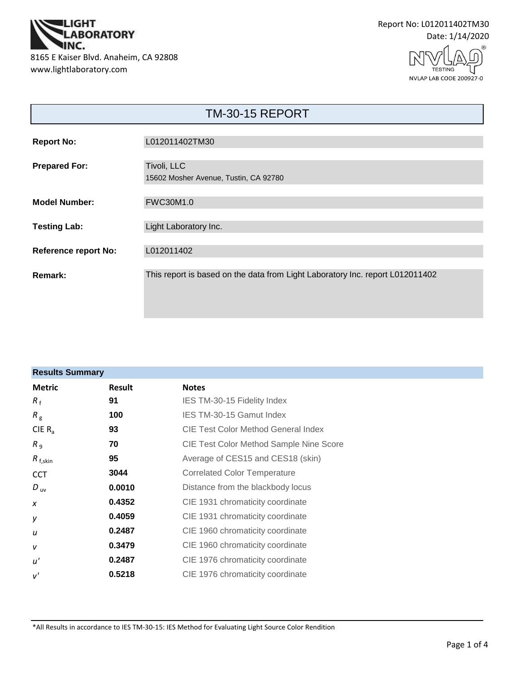

Report No: L012011402TM30 Date: 1/14/2020

> TESTING NVLAP LAB CODE 200927-0

| <b>TM-30-15 REPORT</b>      |                                                                               |  |  |  |  |
|-----------------------------|-------------------------------------------------------------------------------|--|--|--|--|
| <b>Report No:</b>           | L012011402TM30                                                                |  |  |  |  |
| <b>Prepared For:</b>        | Tivoli, LLC<br>15602 Mosher Avenue, Tustin, CA 92780                          |  |  |  |  |
| <b>Model Number:</b>        | <b>FWC30M1.0</b>                                                              |  |  |  |  |
| <b>Testing Lab:</b>         | Light Laboratory Inc.                                                         |  |  |  |  |
| <b>Reference report No:</b> | L012011402                                                                    |  |  |  |  |
| Remark:                     | This report is based on the data from Light Laboratory Inc. report L012011402 |  |  |  |  |

| <b>Results Summary</b> |        |                                                |  |  |  |
|------------------------|--------|------------------------------------------------|--|--|--|
| <b>Metric</b>          | Result | <b>Notes</b>                                   |  |  |  |
| $R_{f}$                | 91     | IES TM-30-15 Fidelity Index                    |  |  |  |
| $R_{\rm g}$            | 100    | IES TM-30-15 Gamut Index                       |  |  |  |
| CIE $R_{a}$            | 93     | CIE Test Color Method General Index            |  |  |  |
| R <sub>9</sub>         | 70     | <b>CIE Test Color Method Sample Nine Score</b> |  |  |  |
| $R_{f,skin}$           | 95     | Average of CES15 and CES18 (skin)              |  |  |  |
| <b>CCT</b>             | 3044   | <b>Correlated Color Temperature</b>            |  |  |  |
| $D_{\text{uv}}$        | 0.0010 | Distance from the blackbody locus              |  |  |  |
| $\boldsymbol{x}$       | 0.4352 | CIE 1931 chromaticity coordinate               |  |  |  |
| у                      | 0.4059 | CIE 1931 chromaticity coordinate               |  |  |  |
| u                      | 0.2487 | CIE 1960 chromaticity coordinate               |  |  |  |
| $\mathsf{V}$           | 0.3479 | CIE 1960 chromaticity coordinate               |  |  |  |
| u'                     | 0.2487 | CIE 1976 chromaticity coordinate               |  |  |  |
| v'                     | 0.5218 | CIE 1976 chromaticity coordinate               |  |  |  |

\*All Results in accordance to IES TM-30-15: IES Method for Evaluating Light Source Color Rendition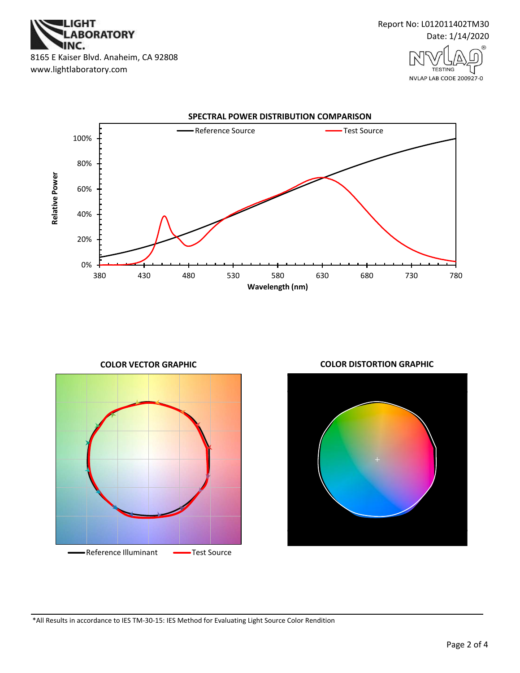



NVLAP LAB CODE 200927-0





**COLOR VECTOR GRAPHIC COLOR DISTORTION GRAPHIC**



\*All Results in accordance to IES TM-30-15: IES Method for Evaluating Light Source Color Rendition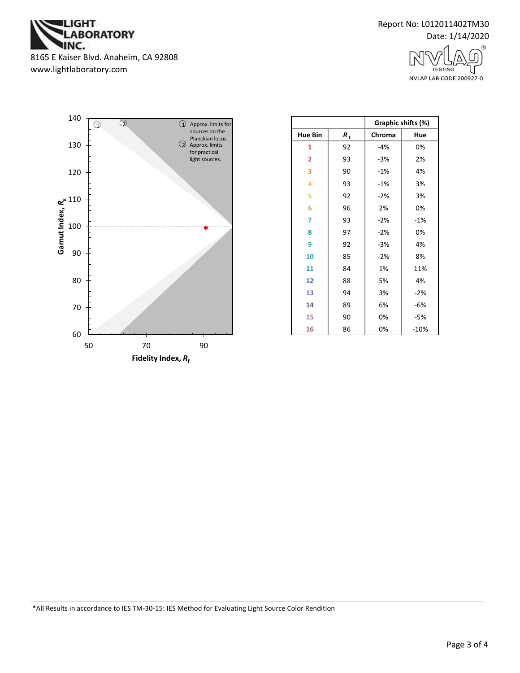

Report No: L012011402TM30 Date: 1/14/2020

> **TESTING** NVLAP LAB CODE 200927-0



|                |    | Graphic shifts (%) |        |  |
|----------------|----|--------------------|--------|--|
| <b>Hue Bin</b> | R, | Chroma             | Hue    |  |
| 1              | 92 | $-4%$              | 0%     |  |
| $\overline{2}$ | 93 | $-3%$              | 2%     |  |
| 3              | 90 | $-1%$              | 4%     |  |
| 4              | 93 | $-1%$              | 3%     |  |
| 5              | 92 | $-2%$              | 3%     |  |
| 6              | 96 | 2%                 | 0%     |  |
| 7              | 93 | $-2%$              | -1%    |  |
| 8              | 97 | $-2%$              | 0%     |  |
| 9              | 92 | -3%                | 4%     |  |
| 10             | 85 | $-2%$              | 8%     |  |
| 11             | 84 | 1%                 | 11%    |  |
| 12             | 88 | 5%                 | 4%     |  |
| 13             | 94 | 3%                 | $-2%$  |  |
| 14             | 89 | 6%                 | -6%    |  |
| 15             | 90 | 0%                 | -5%    |  |
| 16             | 86 | 0%                 | $-10%$ |  |

\*All Results in accordance to IES TM-30-15: IES Method for Evaluating Light Source Color Rendition